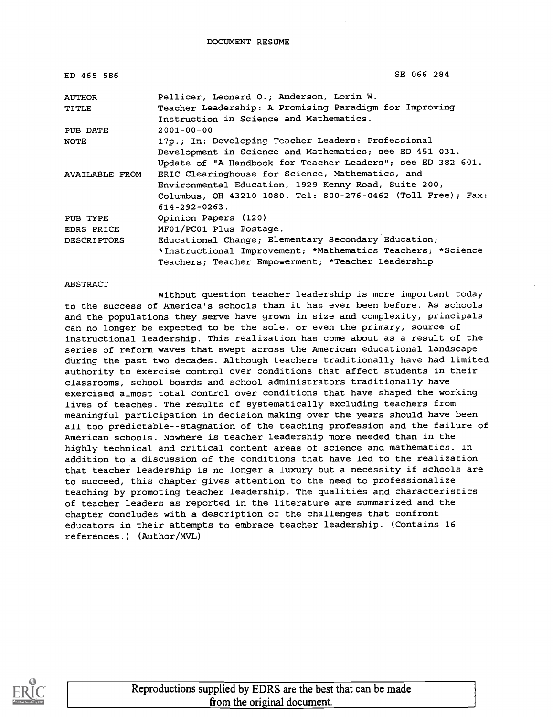| ED 465 586         | SE 066 284                                                                                        |
|--------------------|---------------------------------------------------------------------------------------------------|
| AUTHOR             | Pellicer, Leonard O.; Anderson, Lorin W.                                                          |
| TITLE              | Teacher Leadership: A Promising Paradigm for Improving<br>Instruction in Science and Mathematics. |
| PUB DATE           | $2001 - 00 - 00$                                                                                  |
| <b>NOTE</b>        | 17p.; In: Developing Teacher Leaders: Professional                                                |
|                    | Development in Science and Mathematics; see ED 451 031.                                           |
|                    | Update of "A Handbook for Teacher Leaders"; see ED 382 601.                                       |
| AVAILABLE FROM     | ERIC Clearinghouse for Science, Mathematics, and                                                  |
|                    | Environmental Education, 1929 Kenny Road, Suite 200,                                              |
|                    | Columbus, OH 43210-1080. Tel: 800-276-0462 (Toll Free); Fax:                                      |
|                    | $614 - 292 - 0263$ .                                                                              |
| PUB TYPE           | Opinion Papers (120)                                                                              |
| EDRS PRICE         | MF01/PC01 Plus Postage.                                                                           |
| <b>DESCRIPTORS</b> | Educational Change; Elementary Secondary Education;                                               |
|                    | *Instructional Improvement; *Mathematics Teachers; *Science                                       |
|                    | Teachers; Teacher Empowerment; *Teacher Leadership                                                |

#### ABSTRACT

Without question teacher leadership is more important today to the success of America's schools than it has ever been before. As schools and the populations they serve have grown in size and complexity, principals can no longer be expected to be the sole, or even the primary, source of instructional leadership. This realization has come about as a result of the series of reform waves that swept across the American educational landscape during the past two decades. Although teachers traditionally have had limited authority to exercise control over conditions that affect students in their classrooms, school boards and school administrators traditionally have exercised almost total control over conditions that have shaped the working lives of teaches. The results of systematically excluding teachers from meaningful participation in decision making over the years should have been all too predictable--stagnation of the teaching profession and the failure of American schools. Nowhere is teacher leadership more needed than in the highly technical and critical content areas of science and mathematics. In addition to a discussion of the conditions that have led to the realization that teacher leadership is no longer a luxury but a necessity if schools are to succeed, this chapter gives attention to the need to professionalize teaching by promoting teacher leadership. The qualities and characteristics of teacher leaders as reported in the literature are summarized and the chapter concludes with a description of the challenges that confront educators in their attempts to embrace teacher leadership. (Contains 16 references.) (Author/MVL)

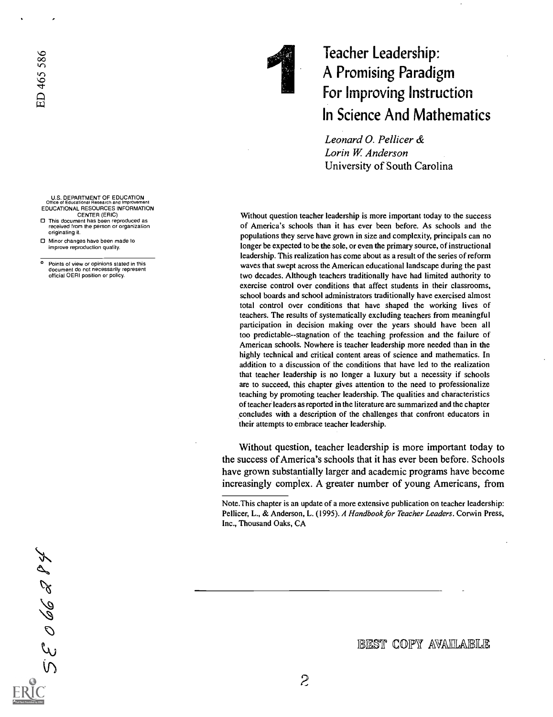

## Teacher Leadership: A Promising Paradigm For Improving Instruction In Science And Mathematics

Leonard 0. Pellicer & Lorin W. Anderson University of South Carolina

Without question teacher leadership is more important today to the success of America's schools than it has ever been before. As schools and the populations they serve have grown in size and complexity, principals can no longer be expected to be the sole, or even the primary source, of instructional leadership. This realization has come about as a result of the series of reform waves that swept across the American educational landscape during the past two decades. Although teachers traditionally have had limited authority to exercise control over conditions that affect students in their classrooms, school boards and school administrators traditionally have exercised almost total control over conditions that have shaped the working lives of teachers. The results of systematically excluding teachers from meaningful participation in decision making over the years should have been all too predictable--stagnation of the teaching profession and the failure of American schools. Nowhere is teacher leadership more needed than in the highly technical and critical content areas of science and mathematics. In addition to a discussion of the conditions that have led to the realization that teacher leadership is no longer a luxury but a necessity if schools are to succeed, this chapter gives attention to the need to professionalize teaching by promoting teacher leadership. The qualities and characteristics of teacher leaders as reported in the literature are summarized and the chapter concludes with a description of the challenges that confront educators in their attempts to embrace teacher leadership.

Without question, teacher leadership is more important today to the success of America's schools that it has ever been before. Schools have grown substantially larger and academic programs have become increasingly complex. A greater number of young Americans, from

52066294

- U.S. DEPARTMENT OF EDUCATION Office of Educational Research and Improvement EDUCATIONAL RESOURCES INFORMATION
- CENTER (ERIC) O This document has been reproduced as
- received from the person or organization originating it.
- O Minor changes have been made to improve reproduction quality.
- Points of view or opinions stated in this document do not necessarily represent official OERI position or policy.

IBEST COPY AVAILLABLE

Note.This chapter is an update of a more extensive publication on teacher leadership: Pellicer, L., & Anderson, L. (1995). A Handbook for Teacher Leaders. Corwin Press, Inc., Thousand Oaks, CA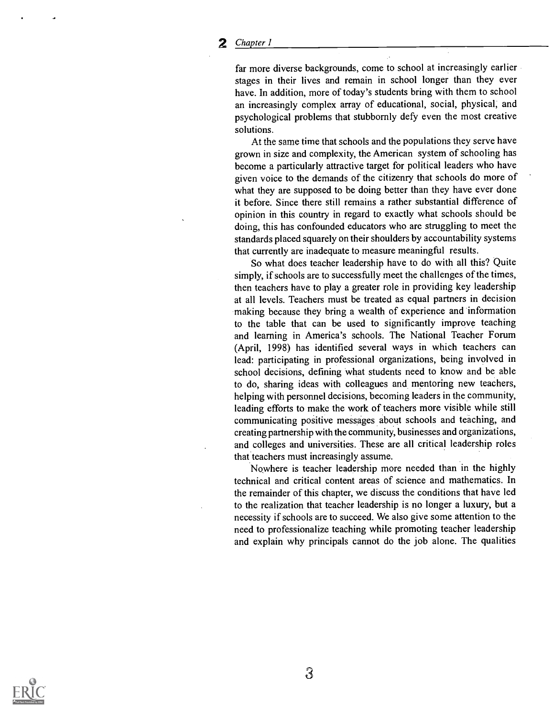far more diverse backgrounds, come to school at increasingly earlier stages in their lives and remain in school longer than they ever have. In addition, more of today's students bring with them to school an increasingly complex array of educational, social, physical, and psychological problems that stubbornly defy even the most creative solutions.

At the same time that schools and the populations they serve have grown in size and complexity, the American system of schooling has become a particularly attractive target for political leaders who have given voice to the demands of the citizenry that schools do more of what they are supposed to be doing better than they have ever done it before. Since there still remains a rather substantial difference of opinion in this country in regard to exactly what schools should be doing, this has confounded educators who are struggling to meet the standards placed squarely on their shoulders by accountability systems that currently are inadequate to measure meaningful results.

So what does teacher leadership have to do with all this? Quite simply, if schools are to successfully meet the challenges of the times, then teachers have to play a greater role in providing key leadership at all levels. Teachers must be treated as equal partners in decision making because they bring a wealth of experience and information to the table that can be used to significantly improve teaching and learning in America's schools. The National Teacher Forum (April, 1998) has identified several ways in which teachers can lead: participating in professional organizations, being involved in school decisions, defining what students need to know and be able to do, sharing ideas with colleagues and mentoring new teachers, helping with personnel decisions, becoming leaders in the community, leading efforts to make the work of teachers more visible while still communicating positive messages about schools and teaching, and creating partnership with the community, businesses and organizations, and colleges and universities. These are all critical leadership roles that teachers must increasingly assume.

Nowhere is teacher leadership more needed than in the highly technical and critical content areas of science and mathematics. In the remainder of this chapter, we discuss the conditions that have led to the realization that teacher leadership is no longer a luxury, but a necessity if schools are to succeed. We also give some attention to the need to professionalize teaching while promoting teacher leadership and explain why principals cannot do the job alone. The qualities

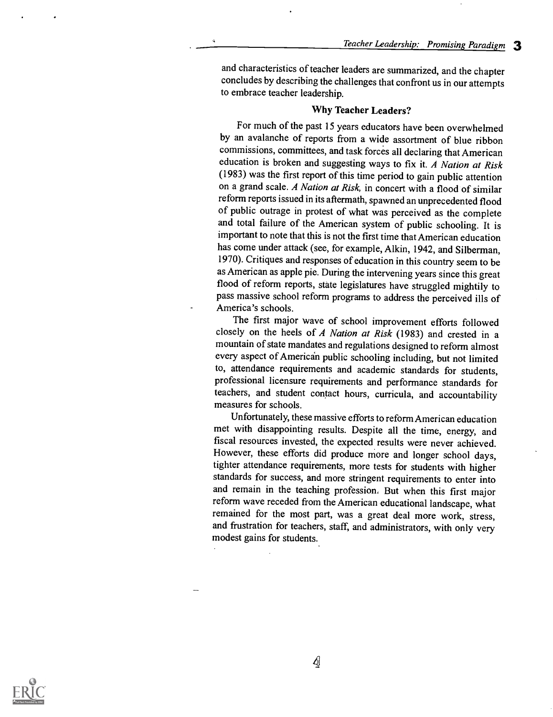and characteristics of teacher leaders are summarized, and the chapter concludes by describing the challenges that confront us in our attempts to embrace teacher leadership.

## Why Teacher Leaders?

For much of the past 15 years educators have been overwhelmed by an avalanche of reports from a wide assortment of blue ribbon commissions, committees, and task forces all declaring that American education is broken and suggesting ways to fix it. A Nation at Risk (1983) was the first report of this time period to gain public attention on a grand scale. A Nation at Risk, in concert with a flood of similar reform reports issued in its aftermath, spawned an unprecedented flood of public outrage in protest of what was perceived as the complete and total failure of the American system of public schooling. It is important to note that this is not the first time that American education has come under attack (see, for example, Alkin, 1942, and Silberman, 1970). Critiques and responses of education in this country seem to be as American as apple pie. During the intervening years since this great flood of reform reports, state legislatures have struggled mightily to pass massive school reform programs to address the perceived ills of America's schools.

The first major wave of school improvement efforts followed closely on the heels of A Nation at Risk (1983) and crested in a mountain of state mandates and regulations designed to reform almost every aspect of American public schooling including, but not limited to, attendance requirements and academic standards for students, professional licensure requirements and performance standards for teachers, and student contact hours, curricula, and accountability measures for schools.

Unfortunately, these massive efforts to reform American education met with disappointing results. Despite all the time, energy, and fiscal resources invested, the expected results were never achieved. However, these efforts did produce more and longer school days, tighter attendance requirements, more tests for students with higher standards for success, and more stringent requirements to enter into and remain in the teaching profession. But when this first major reform wave receded from the American educational landscape, what remained for the most part, was a great deal more work, stress, and frustration for teachers, staff, and administrators, with only very modest gains for students..

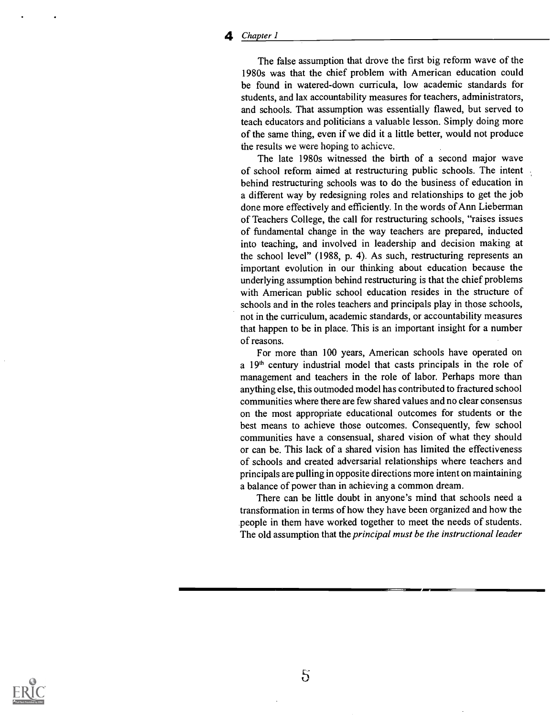The false assumption that drove the first big reform wave of the 1980s was that the chief problem with American education could be found in watered-down curricula, low academic standards for students, and lax accountability measures for teachers, administrators, and schools. That assumption was essentially flawed, but served to teach educators and politicians a valuable lesson. Simply doing more of the same thing, even if we did it a little better, would not produce the results we were hoping to achicvc.

The late 1980s witnessed the birth of a second major wave of school reform aimed at restructuring public schools. The intent behind restructuring schools was to do the business of education in a different way by redesigning roles and relationships to get the job done more effectively and efficiently. In the words of Ann Lieberman of Teachers College, the call for restructuring schools, "raises issues of fundamental change in the way teachers are prepared, inducted into teaching, and involved in leadership and decision making at the school level" (1988, p. 4). As such, restructuring represents an important evolution in our thinking about education because the underlying assumption behind restructuring is that the chief problems with American public school education resides in the structure of schools and in the roles teachers and principals play in those schools, not in the curriculum, academic standards, or accountability measures that happen to be in place. This is an important insight for a number of reasons.

For more than 100 years, American schools have operated on a 19<sup>th</sup> century industrial model that casts principals in the role of management and teachers in the role of labor. Perhaps more than anything else, this outmoded model has contributed to fractured school communities where there are few shared values and no clear consensus on the most appropriate educational outcomes for students or the best means to achieve those outcomes. Consequently, few school communities have a consensual, shared vision of what they should or can be. This lack of a shared vision has limited the effectiveness of schools and created adversarial relationships where teachers and principals are pulling in opposite directions more intent on maintaining a balance of power than in achieving a common dream.

There can be little doubt in anyone's mind that schools need a transformation in terms of how they have been organized and how the people in them have worked together to meet the needs of students. The old assumption that the principal must be the instructional leader

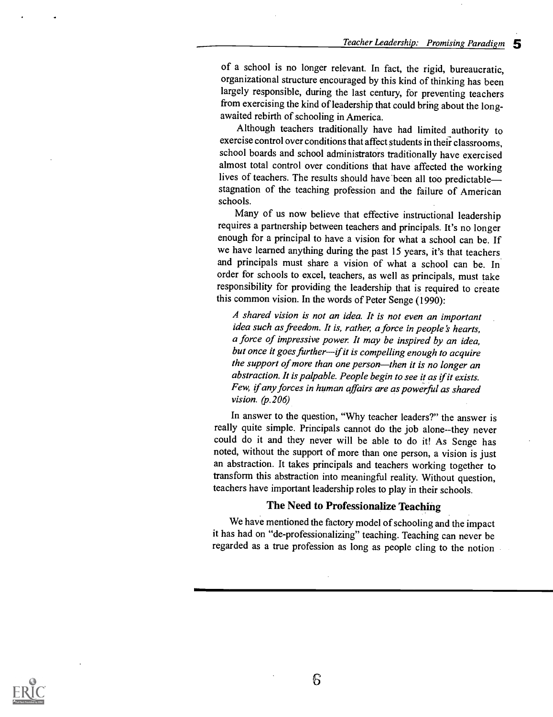of a school is no longer relevant. In fact, the rigid, bureaucratic, organizational structure encouraged by this kind of thinking has been largely responsible, during the last century, for preventing teachers from exercising the kind of leadership that could bring about the longawaited rebirth of schooling in America.

Although teachers traditionally have had limited authority to exercise control over conditions that affect students in their classrooms, school boards and school administrators traditionally have exercised almost total control over conditions that have affected the working lives of teachers. The results should have been all too predictable stagnation of the teaching profession and the failure of American schools.

Many of us now believe that effective instructional leadership requires a partnership between teachers and principals. It's no longer enough for a principal to have a vision for what a school can be. If we have learned anything during the past 15 years, it's that teachers and principals must share a vision of what a school can be. In order for schools to excel, teachers, as well as principals, must take responsibility for providing the leadership that is required to create this common vision. In the words of Peter Senge (1990):

A shared vision is not an idea. It is not even an important idea such as freedom. It is, rather, a force in people's hearts, a force of impressive power It may be inspired by an idea, but once it goes further-if it is compelling enough to acquire the support of more than one person-then it is no longer an abstraction. It is palpable. People begin to see it as if it exists. Few, if any forces in human affairs are as powerful as shared vision.  $(p.206)$ 

In answer to the question, "Why teacher leaders?" the answer is really quite simple. Principals cannot do the job alone--they never could do it and they never will be able to do it! As Senge has noted, without the support of more than one person, a vision is just an abstraction. It takes principals and teachers working together to transform this abstraction into meaningful reality. Without question, teachers have important leadership roles to play in their schools.

## The Need to Professionalize Teaching

We have mentioned the factory model of schooling and the impact it has had on "de-professionalizing" teaching. Teaching can never be regarded as a true profession as long as people cling to the notion

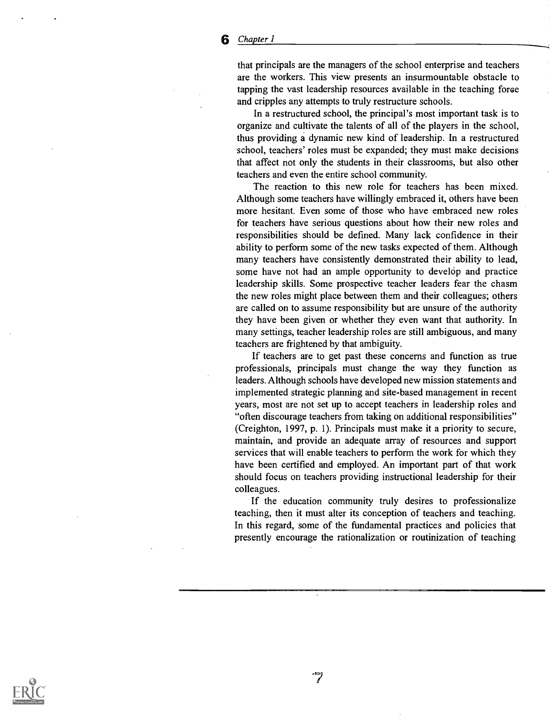that principals are the managers of the school enterprise and teachers are the workers. This view presents an insurmountable obstacle to tapping the vast leadership resources available in the teaching force and cripples any attempts to truly restructure schools.

In a restructured school, the principal's most important task is to organize and cultivate the talents of all of the players in the school, thus providing a dynamic new kind of leadership. In a restructured school, teachers' roles must be expanded; they must make decisions that affect not only the students in their classrooms, but also other teachers and even the entire school community.

The reaction to this new role for teachers has been mixed. Although some teachers have willingly embraced it, others have been more hesitant. Even some of those who have embraced new roles for teachers have serious questions about how their new roles and responsibilities should be defined. Many lack confidence in their ability to perform some of the new tasks expected of them. Although many teachers have consistently demonstrated their ability to lead, some have not had an ample opportunity to develop and practice leadership skills. Some prospective teacher leaders fear the chasm the new roles might place between them and their colleagues; others are called on to assume responsibility but are unsure of the authority they have been given or whether they even want that authority. In many settings, teacher leadership roles are still ambiguous, and many teachers are frightened by that ambiguity.

If teachers are to get past these concerns and function as true professionals, principals must change the way they function as leaders. Although schools have developed new mission statements and implemented strategic planning and site-based management in recent years, most are not set up to accept teachers in leadership roles and "often discourage teachers from taking on additional responsibilities" (Creighton, 1997, p. 1). Principals must make it a priority to secure, maintain, and provide an adequate array of resources and support services that will enable teachers to perform the work for which they have been certified and employed. An important part of that work should focus on teachers providing instructional leadership for their colleagues.

If the education community truly desires to professionalize teaching, then it must alter its conception of teachers and teaching. In this regard, some of the fundamental practices and policies that presently encourage the rationalization or routinization of teaching

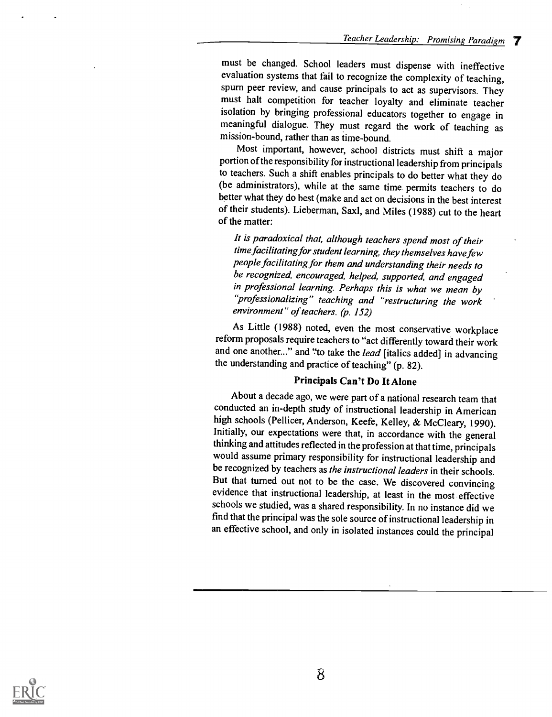must be changed. School leaders must dispense with ineffective evaluation systems that fail to recognize the complexity of teaching, spurn peer review, and cause principals to act as supervisors. They must halt competition for teacher loyalty and eliminate teacher isolation by bringing professional educators together to engage in meaningful dialogue. They must regard the work of teaching as mission-bound, rather than as time-bound.

Most important, however, school districts must shift a major portion of the responsibility for instructional leadership from principals to teachers. Such a shift enables principals to do better what they do (be administrators), while at the same time permits teachers to do better what they do best (make and act on decisions in the best interest of their students). Lieberman, Saxl, and Miles (1988) cut to the heart of the matter:

It is paradoxical that, although teachers spend most of their time facilitating for student learning, they themselves have few people facilitating for them and understanding their needs to be recognized, encouraged, helped, supported, and engaged in professional learning. Perhaps this is what we mean by "professionalizing" teaching and "restructuring the work environment" of teachers. (p. 152)

As Little (1988) noted, even the most conservative workplace reform proposals require teachers to "act differently toward their work and one another..." and "to take the lead [italics added] in advancing the understanding and practice of teaching" (p. 82).

## Principals Can't Do It Alone

About a decade ago, we were part of a national research team that conducted an in-depth study of instructional leadership in American high schools (Pellicer, Anderson, Keefe, Kelley, & McCleary, 1990). Initially, our expectations were that, in accordance with the general thinking and attitudes reflected in the professionat that time, principals would assume primary responsibility for instructional leadership and be recognized by teachers as the instructional leaders in their schools. But that turned out not to be the case. We discovered convincing evidence that instructional leadership, at least in the most effective schools we studied, was a shared responsibility. In no instance did we find that the principal was the sole source of instructional leadership in an effective school, and only in isolated instances could the principal

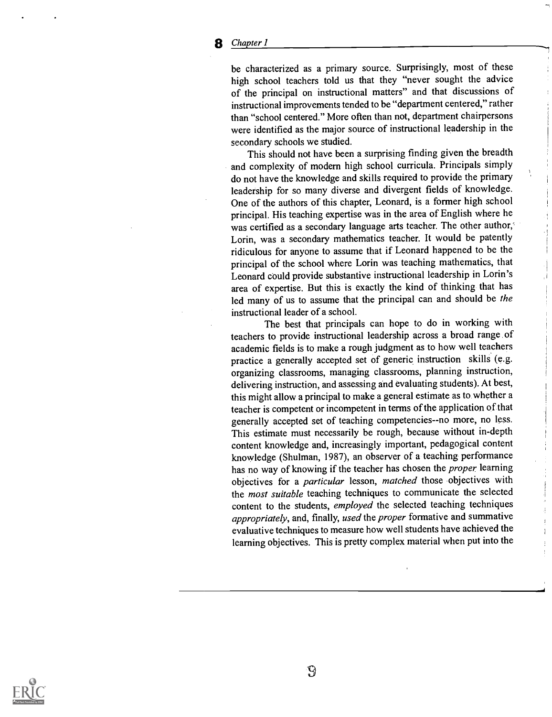be characterized as a primary source. Surprisingly, most of these high school teachers told us that they "never sought the advice of the principal on instructional matters" and that discussions of instructional improvements tended to be "department centered," rather than "school centered." More often than not, department chairpersons were identified as the major source of instructional leadership in the secondary schools we studied.

This should not have been a surprising finding given the breadth and complexity of modern high school curricula. Principals simply do not have the knowledge and skills required to provide the primary leadership for so many diverse and divergent fields of knowledge. One of the authors of this chapter, Leonard, is a former high school principal. His teaching expertise was in the area of English where he was certified as a secondary language arts teacher. The other author,' Lorin, was a secondary mathematics teacher. It would be patently ridiculous for anyone to assume that if Leonard happened to be the principal of the school where Lorin was teaching mathematics, that Leonard could provide substantive instructional leadership in Lorin's area of expertise. But this is exactly the kind of thinking that has led many of us to assume that the principal can and should be the instructional leader of a school.

The best that principals can hope to do in working with teachers to provide instructional leadership across a broad range of academic fields is to make a rough judgment as to how well teachers practice a generally accepted set of generic instruction skills (e.g. organizing classrooms, managing classrooms, planning instruction, delivering instruction, and assessing and evaluating students). At best, this might allow a principal to make a general estimate as to whether a teacher is competent or incompetent in terms of the application of that generally accepted set of teaching competencies--no more, no less. This estimate must necessarily be rough, because without in-depth content knowledge and, increasingly important, pedagogical content knowledge (Shulman, 1987), an observer of a teaching performance has no way of knowing if the teacher has chosen the *proper* learning objectives for a *particular* lesson, matched those objectives with the *most suitable* teaching techniques to communicate the selected content to the students, employed the selected teaching techniques appropriately, and, finally, used the proper formative and summative evaluative techniques to measure how well students have achieved the learning objectives. This is pretty complex material when put into the

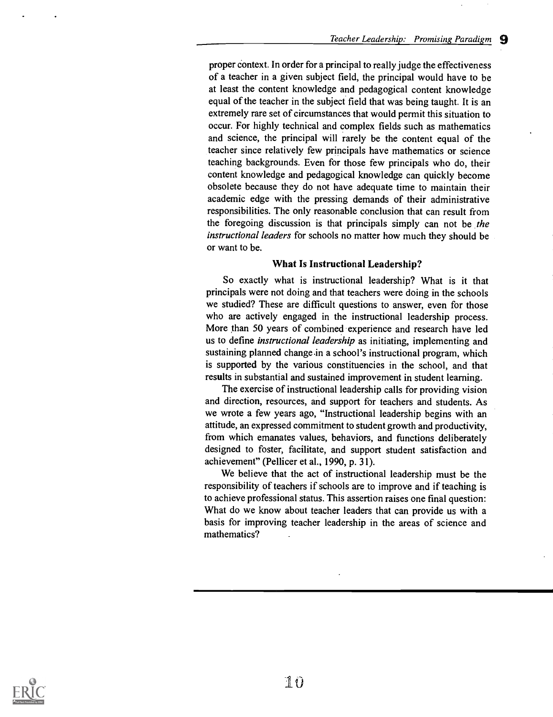proper context. In order for a principal to really judge the effectiveness of a teacher in a given subject field, the principal would have to be at least the content knowledge and pedagogical content knowledge equal of the teacher in the subject field that was being taught. It is an extremely rare set of circumstances that would permit this situation to occur. For highly technical and complex fields such as mathematics and science, the principal will rarely be the content equal of the teacher since relatively few principals have mathematics or science teaching backgrounds. Even for those few principals who do, their content knowledge and pedagogical knowledge can quickly become obsolete because they do not have adequate time to maintain their academic edge with the pressing demands of their administrative responsibilities. The only reasonable conclusion that can result from the foregoing discussion is that principals simply can not be the instructional leaders for schools no matter how much they should be or want to be.

## What Is Instructional Leadership?

So exactly what is instructional leadership? What is it that principals were not doing and that teachers were doing in the schools we studied? These are difficult questions to answer, even for those who are actively engaged in the instructional leadership process. More than 50 years of combined experience and research have led us to define instructional leadership as initiating, implementing and sustaining planned change in a school's instructional program, which is supported by the various constituencies in the school, and that results in substantial and sustained improvement in student learning.

The exercise of instructional leadership calls for providing vision and direction, resources, and support for teachers and students. As we wrote a few years ago, "Instructional leadership begins with an attitude, an expressed commitment to student growth and productivity, from which emanates values, behaviors, and functions deliberately designed to foster, facilitate, and support student satisfaction and achievement" (Pellicer et al., 1990, p. 31).

We believe that the act of instructional leadership must be the responsibility of teachers if schools are to improve and if teaching is to achieve professional status. This assertion raises one final question: What do we know about teacher leaders that can provide us with a basis for improving teacher leadership in the areas of science and mathematics?

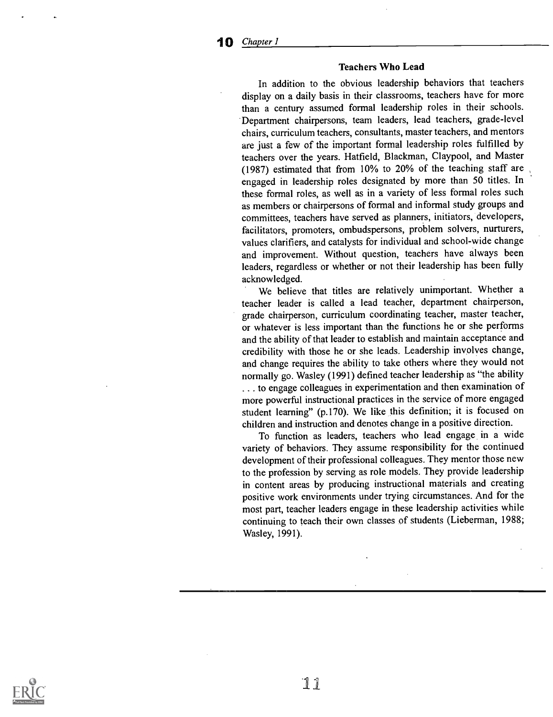#### Teachers Who Lead

In addition to the obvious leadership behaviors that teachers display on a daily basis in their classrooms, teachers have for more than a century assumed formal leadership roles in their schools. Department chairpersons, team leaders, lead teachers, grade-level chairs, curriculum teachers, consultants, master teachers, and mentors are just a few of the important formal leadership roles fulfilled by teachers over the years. Hatfield, Blackman, Claypool, and Master (1987) estimated that from 10% to 20% of the teaching staff are engaged in leadership roles designated by more than 50 titles. In these formal roles, as well as in a variety of less formal roles such as members or chairpersons of formal and informal study groups and committees, teachers have served as planners, initiators, developers, facilitators, promoters, ombudspersons, problem solvers, nurturers, values clarifiers, and catalysts for individual and school-wide change and improvement. Without question, teachers have always been leaders, regardless or whether or not their leadership has been fully acknowledged.

We believe that titles are relatively unimportant. Whether a teacher leader is called a lead teacher, department chairperson, grade chairperson, curriculum coordinating teacher, master teacher, or whatever is less important than the functions he or she performs and the ability of that leader to establish and maintain acceptance and credibility with those he or she leads. Leadership involves change, and change requires the ability to take others where they would not normally go. Wasley (1991) defined teacher leadership as "the ability . . to engage colleagues in experimentation and then examination of more powerful instructional practices in the service of more engaged student learning" (p.170). We like this definition; it is focused on children and instruction and denotes change in a positive direction.

To function as leaders, teachers who lead engage in a wide variety of behaviors. They assume responsibility for the continued development of their professional colleagues. They mentor those new to the profession by serving as role models. They provide leadership in content areas by producing instructional materials and creating positive work environments under trying circumstances. And for the most part, teacher leaders engage in these leadership activities while continuing to teach their own classes of students (Lieberman, 1988; Wasley, 1991).

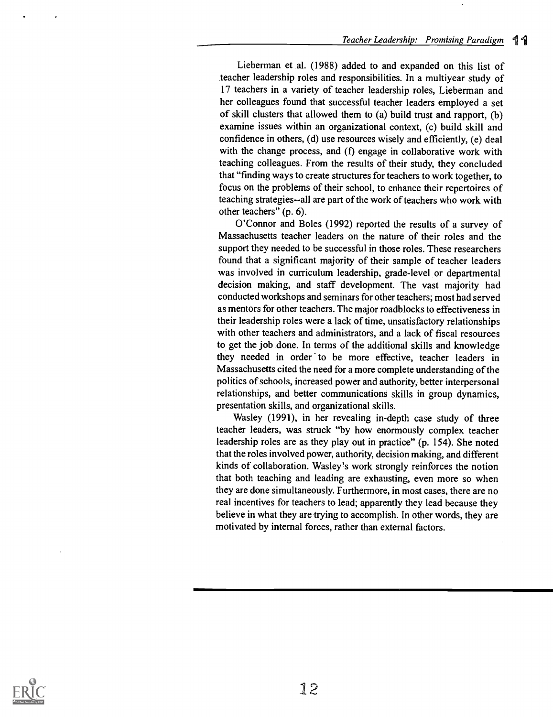Lieberman et al. (1988) added to and expanded on this list of teacher leadership roles and responsibilities. In a multiyear study of 17 teachers in a variety of teacher leadership roles, Lieberman and her colleagues found that successful teacher leaders employed a set of skill clusters that allowed them to (a) build trust and rapport, (b) examine issues within an organizational context, (c) build skill and confidence in others, (d) use resources wisely and efficiently, (e) deal with the change process, and (f) engage in collaborative work with teaching colleagues. From the results of their study, they concluded that "finding ways to create structures for teachers to work together, to focus on the problems of their school, to enhance their repertoires of teaching strategies--all are part of the work of teachers who work with other teachers" (p. 6).

O'Connor and Boles (1992) reported the results of a survey of Massachusetts teacher leaders on the nature of their roles and the support they needed to be successful in those roles. These researchers found that a significant majority of their sample of teacher leaders was involved in curriculum leadership, grade-level or departmental decision making, and staff development. The vast majority had conducted workshops and seminars for other teachers; most had served as mentors for other teachers. The major roadblocks to effectiveness in their leadership roles were a lack of time, unsatisfactory relationships with other teachers and administrators, and a lack of fiscal resources to get the job done. In terms of the additional skills and knowledge they needed in order to be more effective, teacher leaders in Massachusetts cited the need for a more complete understanding of the politics of schools, increased power and authority, better interpersonal relationships, and better communications skills in group dynamics, presentation skills, and organizational skills.

Wasley (1991), in her revealing in-depth case study of three teacher leaders, was struck "by how enormously complex teacher leadership roles are as they play out in practice" (p. 154). She noted that the roles involved power, authority, decision making, and different kinds of collaboration. Wasley's work strongly reinforces the notion that both teaching and leading are exhausting, even more so when they are done simultaneously. Furthermore, in most cases, there are no real incentives for teachers to lead; apparently they lead because they believe in what they are trying to accomplish. In other words, they are motivated by internal forces, rather than external factors.

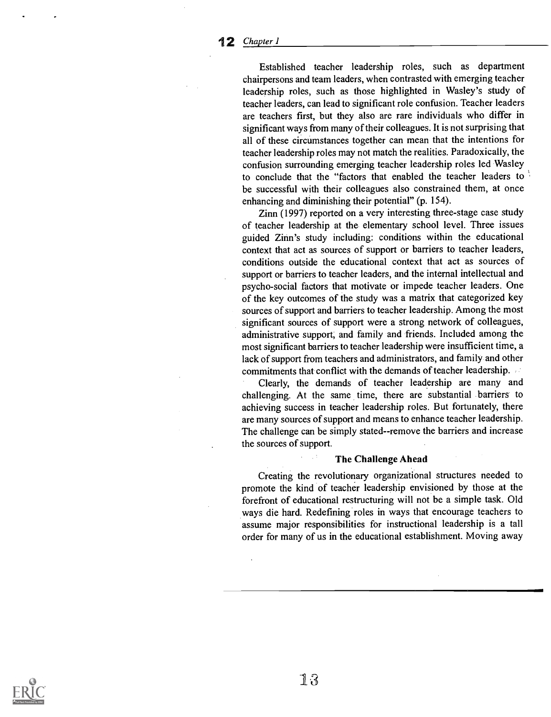Established teacher leadership roles, such as department chairpersons and team leaders, when contrasted with emerging teacher leadership roles, such as those highlighted in Wasley's study of teacher leaders, can lead to significant role confusion. Teacher leaders are teachers first, but they also are rare individuals who differ in significant ways from many of their colleagues. It is not surprising that all of these circumstances together can mean that the intentions for teacher leadership roles may not match the realities. Paradoxically, the confusion surrounding emerging teacher leadership roles led Wasley to conclude that the "factors that enabled the teacher leaders to be successful with their colleagues also constrained them, at once enhancing and diminishing their potential" (p. 154).

Zinn (1997) reported on a very interesting three-stage case study of teacher leadership at the elementary school level. Three issues guided Zinn's study including: conditions within the educational context that act as sources of support or barriers to teacher leaders, conditions outside the educational context that act as sources of support or barriers to teacher leaders, and the internal intellectual and psycho-social factors that motivate or impede teacher leaders. One of the key outcomes of the study was a matrix that categorized key sources of support and barriers to teacher leadership. Among the most significant sources of support were a strong network of colleagues, administrative support, and family and friends. Included among the most significant barriers to teacher leadership were insufficient time, a lack of support from teachers and administrators, and family and other commitments that conflict with the demands of teacher leadership.

Clearly, the demands of teacher leadership are many and challenging. At the same time, there are substantial barriers to achieving success in teacher leadership roles. But fortunately, there are many sources of support and means to enhance teacher leadership. The challenge can be simply stated--remove the barriers and increase the sources of support.

## The Challenge Ahead

Creating the revolutionary organizational structures needed to promote the kind of teacher leadership envisioned by those at the forefront of educational restructuring will not be a simple task. Old ways die hard. Redefining roles in ways that encourage teachers to assume major responsibilities for instructional leadership is a tall order for many of us in the educational establishment. Moving away

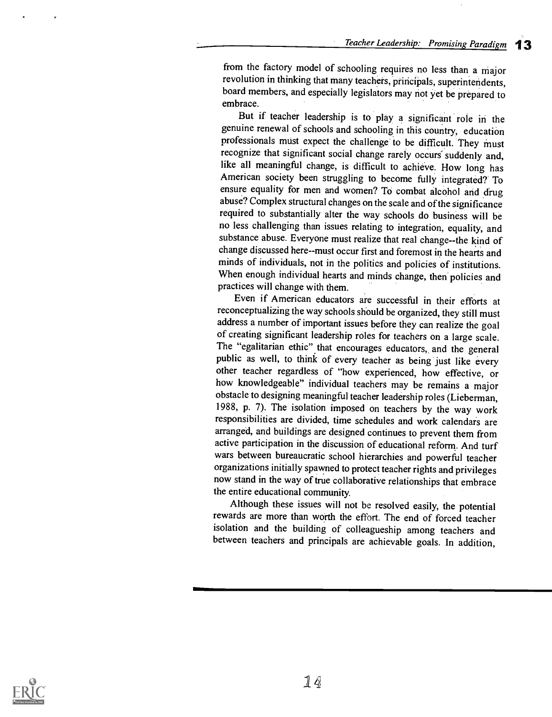from the factory model of schooling requires no less than a major revolution in thinking that many teachers, priricipals, superintendents, board members, and especially legislators may not yet be prepared to embrace.

But if teacher leadership is to play a significant role in the genuine renewal of schools and schooling in this country, education professionals must expect the challenge to be difficult. They must recognize that significant social change rarely occurs' suddenly and, like all meaningful change, is difficult to achieve. How long has American society been struggling to become fully integrated? To ensure equality for men and women? To combat alcohol and drug abuse? Complex structural changes on the scale and of the significance required to substantially alter the way schools do business will be no less challenging than issues relating to integration, equality, and substance abuse. Everyone must realize that real change--the kind of change discussed here--must occur first and foremost in the hearts and minds of individuals, not in the politics and policies of institutions. When enough individual hearts and minds change, then policies and practices will change with them.

Even if American educators are successful in their efforts at reconceptualizing the way schools should be organized, they still must address a number of important issues before they can realize the goal of creating significant leadership roles for teachers on a large scale.<br>The "egalitarian ethic" that encourages educators, and the general public as well, to think of every teacher as being just like every other teacher regardless of "how experienced, how effective, or how knowledgeable" individual teachers may be remains a major obstacle to designing meaningful teacher leadership roles (Lieberman, 1988, p. 7). The isolation imposed on teachers by the way work responsibilities are divided, time schedules and work calendars are arranged, and buildings are designed continues to prevent them from active participation in the discussion of educational reform,. And turf wars between bureaucratic school hierarchies and powerful teacher organizations initially spawned to protect teacher rights and privileges now stand in the way of true collaborative relationships that embrace the entire educational community.

Although these issues will not be resolved easily, the potential rewards are more than worth the effort. The end of forced teacher isolation and the building of colleagueship among teachers and between teachers and principals are achievable goals. In addition,

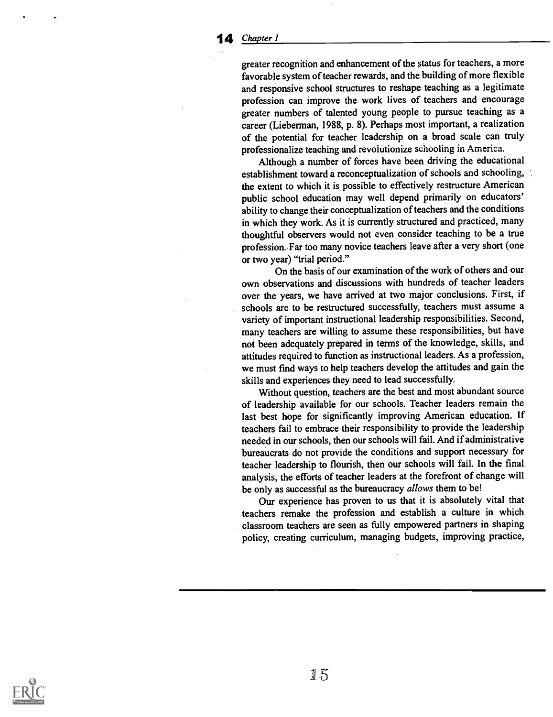greater recognition and enhancement of the status for teachers, a more favorable system of teacher rewards, and the building of more flexible and responsive school structures to reshape teaching as a legitimate profession can improve the work lives of teachers and encourage greater numbers of talented young people to pursue teaching as a career (Lieberman, 1988, p. 8). Perhaps most important, a realization of the potential for teacher leadership on a broad scale can truly professionalize teaching and revolutionize schooling in America.

Although a number of forces have been driving the educational establishment toward a reconceptualization of schools and schooling, the extent to which it is possible to effectively restructure American public school education may well depend primarily on educators' ability to change their conceptualization of teachers and the conditions in which they work. As it is currently structured and practiced, many thoughtful observers would not even consider teaching to be a true profession. Far too many novice teachers leave after a very short (one or two year) "trial period."

On the basis of our examination of the work of others and our own observations and discussions with hundreds of teacher leaders over the years, we have arrived at two major conclusions. First, if schools are to be restructured successfully, teachers must assume a variety of important instructional leadership responsibilities. Second, many teachers are willing to assume these responsibilities, but have not been adequately prepared in terms of the knowledge, skills, and attitudes required to function as instructional leaders. As a profession, we must find ways to help teachers develop the attitudes and gain the skills and experiences they need to lead successfully.

Without question, teachers are the best and most abundant source of leadership available for our schools. Teacher leaders remain the last best hope for significantly improving American education. If teachers fail to embrace their responsibility to provide the leadership needed in our schools, then our schools will fail. And if administrative bureaucrats do not provide the conditions and support necessary for teacher leadership to flourish, then our schools will fail. In the final analysis, the efforts of teacher leaders at the forefront of change will be only as successful as the bureaucracy allows them to be!

Our experience has proven to us that it is absolutely vital that teachers remake the profession and establish a culture in which classroom teachers are seen as fully empowered partners in shaping policy, creating curriculum, managing budgets, improving practice,

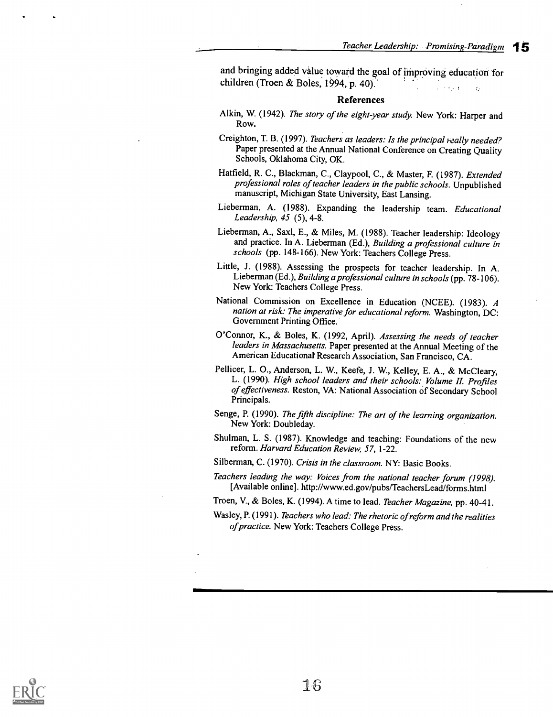and bringing added value toward the goal of improving education for children (Troen & Boles, 1994, p. 40).

#### References

- Alkin, W. (1942). The story of the eight-year study. New York: Harper and Row.
- Creighton, T. B. (1997). Teachers as leaders: Is the principal really needed? Paper presented at the Annual National Conference on Creating Quality Schools, Oklahoma City, OK.
- Hatfield, R. C., Blackman, C., Claypool, C., & Master, F. (1987). Extended professional roles of teacher leaders in the public schools. Unpublished manuscript, Michigan State University, East Lansing.
- Lieberman, A. (1988). Expanding the leadership team. Educational Leadership, 45 (5), 4-8.
- Lieberman, A., Saxl, E., & Miles, M. (1988). Teacher leadership: Ideology and practice. In A. Lieberman (Ed.), Building a professional culture in schools (pp. 148-166). New York: Teachers College Press.
- Little, J. (1988). Assessing the prospects for teacher leadership. In A. Lieberman (Ed.), Building a professional culture in schools (pp. 78-106). New York: Teachers College Press.
- National Commission on Excellence in Education (NCEE). (1983). A nation at risk: The imperative for educational reform. Washington, DC: Government Printing Office.
- O'Connor, K., & Boles, K. (1992, April). Assessing the needs of teacher leaders in Massachusetts. Paper presented at the Annual Meeting of the American Educational Research Association, San Francisco, CA.
- Pellicer, L. 0., Anderson, L. W., Keefe, J. W., Kelley, E. A., & McCleary, L. (1990). High school leaders and their schools: Volume II. Profiles of effectiveness. Reston, VA: National Association of Secondary School Principals.
- Senge, P. (1990). The fifth discipline: The art of the learning organization. New York: Doubleday.
- Shulman, L. S. (1987). Knowledge and teaching: Foundations of the new reform. Harvard Education Review, 57, 1-22.

Silberman, C. (1970). Crisis in the classroom. NY: Basic Books.

- Teachers leading the way: Voices from the national teacher forum (1998). [Available online]. http://www.ed.gov/pubs/TeachersLead/forms.html
- Troen, V., & Boles, K. (1994). A time to lead. Teacher Magazine, pp. 40-41.
- Wasley, P. (1991). Teachers who lead: The rhetoric of reform and the realities of practice. New York: Teachers College Press.

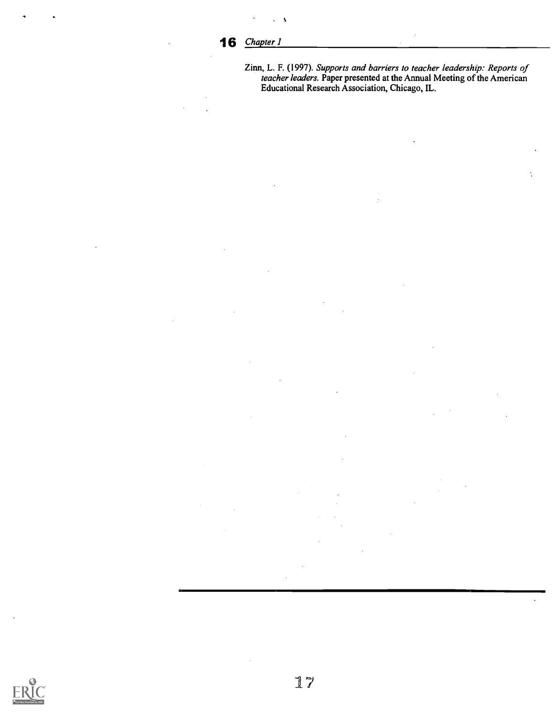N

Zinn, L. F. (1997). Supports and barriers to teacher leadership: Reports of teacher leaders. Paper presented at the Annual Meeting of the American Educational Research Association, Chicago, IL.



17